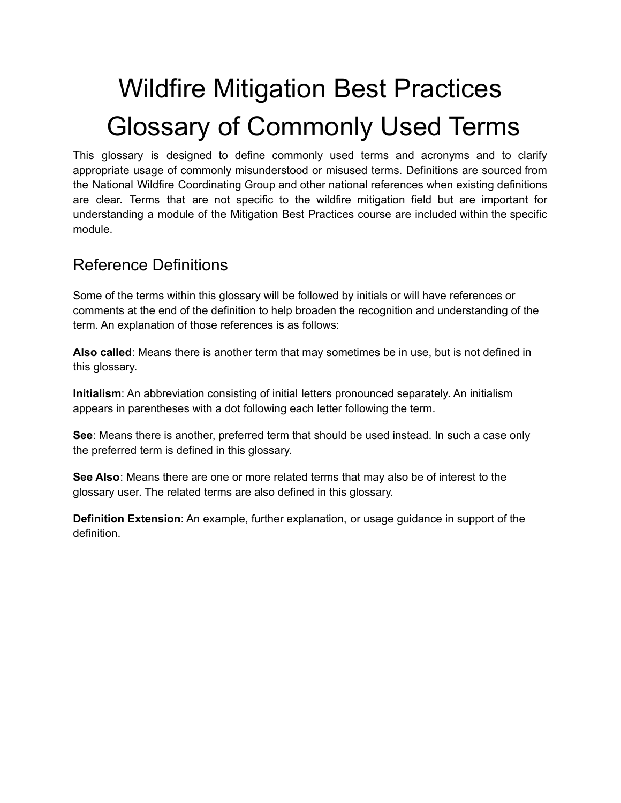# Wildfire Mitigation Best Practices Glossary of Commonly Used Terms

This glossary is designed to define commonly used terms and acronyms and to clarify appropriate usage of commonly misunderstood or misused terms. Definitions are sourced from the National Wildfire Coordinating Group and other national references when existing definitions are clear. Terms that are not specific to the wildfire mitigation field but are important for understanding a module of the Mitigation Best Practices course are included within the specific module.

# Reference Definitions

Some of the terms within this glossary will be followed by initials or will have references or comments at the end of the definition to help broaden the recognition and understanding of the term. An explanation of those references is as follows:

**Also called**: Means there is another term that may sometimes be in use, but is not defined in this glossary.

**Initialism**: An abbreviation consisting of initial letters pronounced separately. An initialism appears in parentheses with a dot following each letter following the term.

**See**: Means there is another, preferred term that should be used instead. In such a case only the preferred term is defined in this glossary.

**See Also**: Means there are one or more related terms that may also be of interest to the glossary user. The related terms are also defined in this glossary.

**Definition Extension**: An example, further explanation, or usage guidance in support of the definition.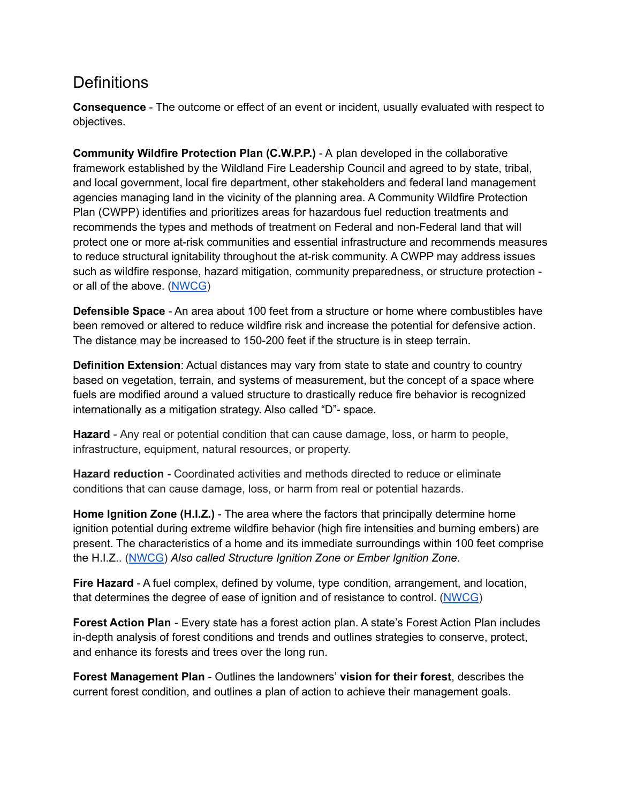## **Definitions**

**Consequence** - The outcome or effect of an event or incident, usually evaluated with respect to objectives.

**Community Wildfire Protection Plan (C.W.P.P.)** - A plan developed in the collaborative framework established by the Wildland Fire Leadership Council and agreed to by state, tribal, and local government, local fire department, other stakeholders and federal land management agencies managing land in the vicinity of the planning area. A Community Wildfire Protection Plan (CWPP) identifies and prioritizes areas for hazardous fuel reduction treatments and recommends the types and methods of treatment on Federal and non-Federal land that will protect one or more at-risk communities and essential infrastructure and recommends measures to reduce structural ignitability throughout the at-risk community. A CWPP may address issues such as wildfire response, hazard mitigation, community preparedness, or structure protection or all of the above. [\(NWCG\)](https://www.nwcg.gov/glossary/a-z)

**Defensible Space** - An area about 100 feet from a structure or home where combustibles have been removed or altered to reduce wildfire risk and increase the potential for defensive action. The distance may be increased to 150-200 feet if the structure is in steep terrain.

**Definition Extension**: Actual distances may vary from state to state and country to country based on vegetation, terrain, and systems of measurement, but the concept of a space where fuels are modified around a valued structure to drastically reduce fire behavior is recognized internationally as a mitigation strategy. Also called "D"- space.

**Hazard** - Any real or potential condition that can cause damage, loss, or harm to people, infrastructure, equipment, natural resources, or property.

**Hazard reduction -** Coordinated activities and methods directed to reduce or eliminate conditions that can cause damage, loss, or harm from real or potential hazards.

**Home Ignition Zone (H.I.Z.)** - The area where the factors that principally determine home ignition potential during extreme wildfire behavior (high fire intensities and burning embers) are present. The characteristics of a home and its immediate surroundings within 100 feet comprise the H.I.Z.. ([NWCG\)](https://www.nwcg.gov/glossary/a-z) *Also called Structure Ignition Zone or Ember Ignition Zone*.

**Fire Hazard** - A fuel complex, defined by volume, type condition, arrangement, and location, that determines the degree of ease of ignition and of resistance to control. [\(NWCG](https://www.nwcg.gov/glossary/a-z))

**Forest Action Plan** - Every state has a forest action plan. A state's Forest Action Plan includes in-depth analysis of forest conditions and trends and outlines strategies to conserve, protect, and enhance its forests and trees over the long run.

**Forest Management Plan** - Outlines the landowners' **vision for their forest**, describes the current forest condition, and outlines a plan of action to achieve their management goals.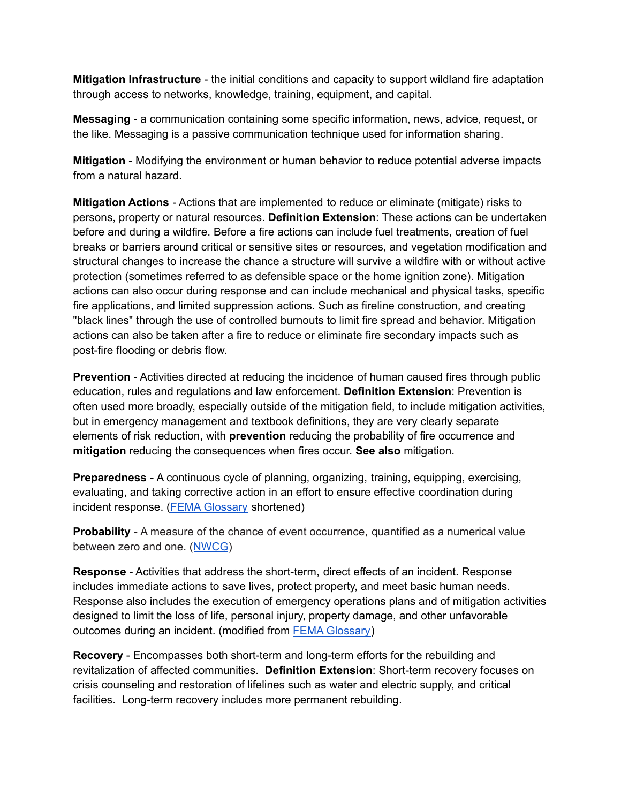**Mitigation Infrastructure** - the initial conditions and capacity to support wildland fire adaptation through access to networks, knowledge, training, equipment, and capital.

**Messaging** - a communication containing some specific information, news, advice, request, or the like. Messaging is a passive communication technique used for information sharing.

**Mitigation** - Modifying the environment or human behavior to reduce potential adverse impacts from a natural hazard.

**Mitigation Actions** - Actions that are implemented to reduce or eliminate (mitigate) risks to persons, property or natural resources. **Definition Extension**: These actions can be undertaken before and during a wildfire. Before a fire actions can include fuel treatments, creation of fuel breaks or barriers around critical or sensitive sites or resources, and vegetation modification and structural changes to increase the chance a structure will survive a wildfire with or without active protection (sometimes referred to as defensible space or the home ignition zone). Mitigation actions can also occur during response and can include mechanical and physical tasks, specific fire applications, and limited suppression actions. Such as fireline construction, and creating "black lines" through the use of controlled burnouts to limit fire spread and behavior. Mitigation actions can also be taken after a fire to reduce or eliminate fire secondary impacts such as post-fire flooding or debris flow.

**Prevention** - Activities directed at reducing the incidence of human caused fires through public education, rules and regulations and law enforcement. **Definition Extension**: Prevention is often used more broadly, especially outside of the mitigation field, to include mitigation activities, but in emergency management and textbook definitions, they are very clearly separate elements of risk reduction, with **prevention** reducing the probability of fire occurrence and **mitigation** reducing the consequences when fires occur. **See also** mitigation.

**Preparedness -** A continuous cycle of planning, organizing, training, equipping, exercising, evaluating, and taking corrective action in an effort to ensure effective coordination during incident response. (FEMA [Glossary](https://training.fema.gov/programs/emischool/el361toolkit/glossary.htm) shortened)

**Probability -** A measure of the chance of event occurrence, quantified as a numerical value between zero and one. ([NWCG](https://www.nwcg.gov/glossary/a-z))

**Response** - Activities that address the short-term, direct effects of an incident. Response includes immediate actions to save lives, protect property, and meet basic human needs. Response also includes the execution of emergency operations plans and of mitigation activities designed to limit the loss of life, personal injury, property damage, and other unfavorable outcomes during an incident. (modified from FEMA [Glossary\)](https://training.fema.gov/programs/emischool/el361toolkit/glossary.htm)

**Recovery** - Encompasses both short-term and long-term efforts for the rebuilding and revitalization of affected communities. **Definition Extension**: Short-term recovery focuses on crisis counseling and restoration of lifelines such as water and electric supply, and critical facilities. Long-term recovery includes more permanent rebuilding.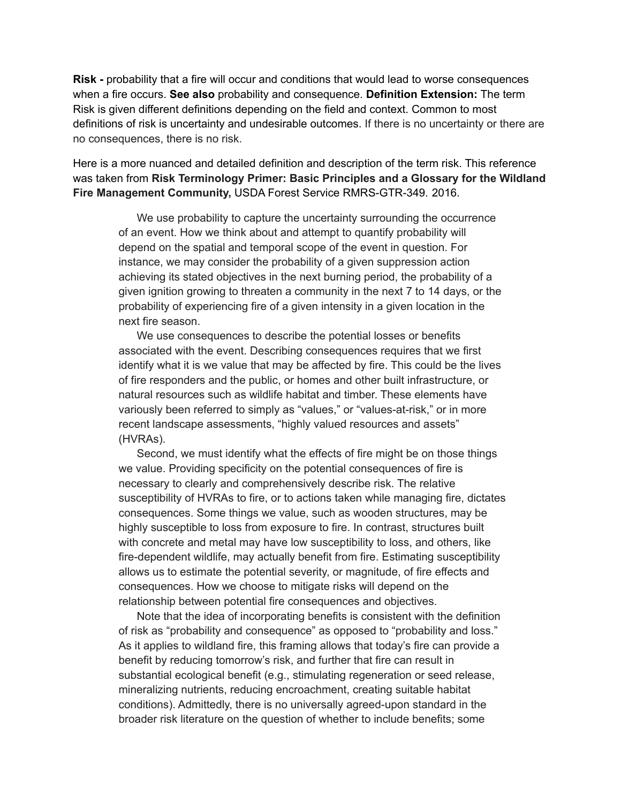**Risk -** probability that a fire will occur and conditions that would lead to worse consequences when a fire occurs. **See also** probability and consequence. **Definition Extension:** The term Risk is given different definitions depending on the field and context. Common to most definitions of risk is uncertainty and undesirable outcomes. If there is no uncertainty or there are no consequences, there is no risk.

Here is a more nuanced and detailed definition and description of the term risk. This reference was taken from **Risk Terminology Primer: Basic Principles and a Glossary for the Wildland Fire Management Community,** USDA Forest Service RMRS-GTR-349. 2016.

We use probability to capture the uncertainty surrounding the occurrence of an event. How we think about and attempt to quantify probability will depend on the spatial and temporal scope of the event in question. For instance, we may consider the probability of a given suppression action achieving its stated objectives in the next burning period, the probability of a given ignition growing to threaten a community in the next 7 to 14 days, or the probability of experiencing fire of a given intensity in a given location in the next fire season.

We use consequences to describe the potential losses or benefits associated with the event. Describing consequences requires that we first identify what it is we value that may be affected by fire. This could be the lives of fire responders and the public, or homes and other built infrastructure, or natural resources such as wildlife habitat and timber. These elements have variously been referred to simply as "values," or "values-at-risk," or in more recent landscape assessments, "highly valued resources and assets" (HVRAs).

Second, we must identify what the effects of fire might be on those things we value. Providing specificity on the potential consequences of fire is necessary to clearly and comprehensively describe risk. The relative susceptibility of HVRAs to fire, or to actions taken while managing fire, dictates consequences. Some things we value, such as wooden structures, may be highly susceptible to loss from exposure to fire. In contrast, structures built with concrete and metal may have low susceptibility to loss, and others, like fire-dependent wildlife, may actually benefit from fire. Estimating susceptibility allows us to estimate the potential severity, or magnitude, of fire effects and consequences. How we choose to mitigate risks will depend on the relationship between potential fire consequences and objectives.

Note that the idea of incorporating benefits is consistent with the definition of risk as "probability and consequence" as opposed to "probability and loss." As it applies to wildland fire, this framing allows that today's fire can provide a benefit by reducing tomorrow's risk, and further that fire can result in substantial ecological benefit (e.g., stimulating regeneration or seed release, mineralizing nutrients, reducing encroachment, creating suitable habitat conditions). Admittedly, there is no universally agreed-upon standard in the broader risk literature on the question of whether to include benefits; some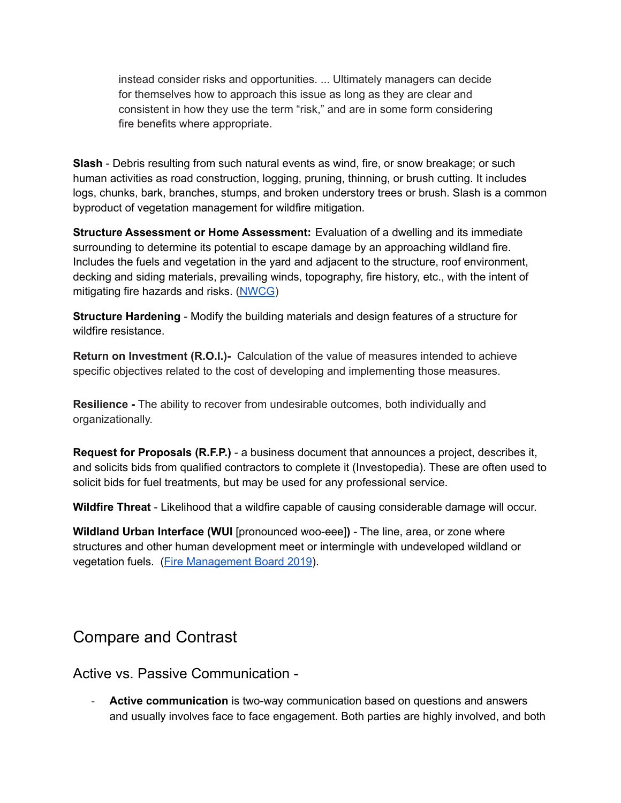instead consider risks and opportunities. ... Ultimately managers can decide for themselves how to approach this issue as long as they are clear and consistent in how they use the term "risk," and are in some form considering fire benefits where appropriate.

**Slash** - Debris resulting from such natural events as wind, fire, or snow breakage; or such human activities as road construction, logging, pruning, thinning, or brush cutting. It includes logs, chunks, bark, branches, stumps, and broken understory trees or brush. Slash is a common byproduct of vegetation management for wildfire mitigation.

**Structure Assessment or Home Assessment:** Evaluation of a dwelling and its immediate surrounding to determine its potential to escape damage by an approaching wildland fire. Includes the fuels and vegetation in the yard and adjacent to the structure, roof environment, decking and siding materials, prevailing winds, topography, fire history, etc., with the intent of mitigating fire hazards and risks. [\(NWCG](https://www.nwcg.gov/glossary/a-z))

**Structure Hardening** - Modify the building materials and design features of a structure for wildfire resistance.

**Return on Investment (R.O.I.)-** Calculation of the value of measures intended to achieve specific objectives related to the cost of developing and implementing those measures.

**Resilience -** The ability to recover from undesirable outcomes, both individually and organizationally.

**Request for Proposals (R.F.P.)** - a business document that announces a project, describes it, and solicits bids from qualified contractors to complete it (Investopedia). These are often used to solicit bids for fuel treatments, but may be used for any professional service.

**Wildfire Threat** - Likelihood that a wildfire capable of causing considerable damage will occur.

**Wildland Urban Interface (WUI** [pronounced woo-eee]**)** - The line, area, or zone where structures and other human development meet or intermingle with undeveloped wildland or vegetation fuels. (Fire [Management](https://www.nwcg.gov/sites/default/files/docs/eb-fmb-m-19-004a.pdf) Board 2019).

## Compare and Contrast

Active vs. Passive Communication -

- **Active communication** is two-way communication based on questions and answers and usually involves face to face engagement. Both parties are highly involved, and both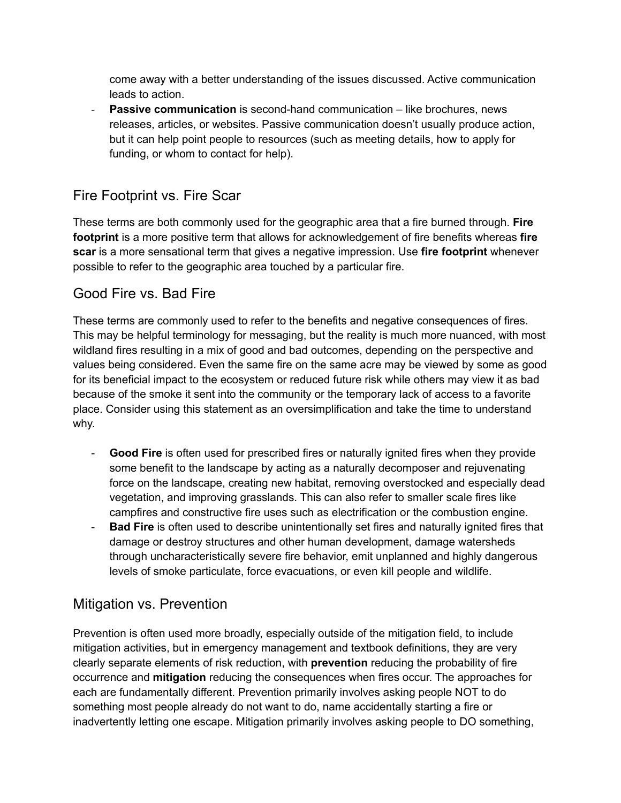come away with a better understanding of the issues discussed. Active communication leads to action.

**Passive communication** is second-hand communication – like brochures, news releases, articles, or websites. Passive communication doesn't usually produce action, but it can help point people to resources (such as meeting details, how to apply for funding, or whom to contact for help).

## Fire Footprint vs. Fire Scar

These terms are both commonly used for the geographic area that a fire burned through. **Fire footprint** is a more positive term that allows for acknowledgement of fire benefits whereas **fire scar** is a more sensational term that gives a negative impression. Use **fire footprint** whenever possible to refer to the geographic area touched by a particular fire.

### Good Fire vs. Bad Fire

These terms are commonly used to refer to the benefits and negative consequences of fires. This may be helpful terminology for messaging, but the reality is much more nuanced, with most wildland fires resulting in a mix of good and bad outcomes, depending on the perspective and values being considered. Even the same fire on the same acre may be viewed by some as good for its beneficial impact to the ecosystem or reduced future risk while others may view it as bad because of the smoke it sent into the community or the temporary lack of access to a favorite place. Consider using this statement as an oversimplification and take the time to understand why.

- **Good Fire** is often used for prescribed fires or naturally ignited fires when they provide some benefit to the landscape by acting as a naturally decomposer and rejuvenating force on the landscape, creating new habitat, removing overstocked and especially dead vegetation, and improving grasslands. This can also refer to smaller scale fires like campfires and constructive fire uses such as electrification or the combustion engine.
- **Bad Fire** is often used to describe unintentionally set fires and naturally ignited fires that damage or destroy structures and other human development, damage watersheds through uncharacteristically severe fire behavior, emit unplanned and highly dangerous levels of smoke particulate, force evacuations, or even kill people and wildlife.

### Mitigation vs. Prevention

Prevention is often used more broadly, especially outside of the mitigation field, to include mitigation activities, but in emergency management and textbook definitions, they are very clearly separate elements of risk reduction, with **prevention** reducing the probability of fire occurrence and **mitigation** reducing the consequences when fires occur. The approaches for each are fundamentally different. Prevention primarily involves asking people NOT to do something most people already do not want to do, name accidentally starting a fire or inadvertently letting one escape. Mitigation primarily involves asking people to DO something,